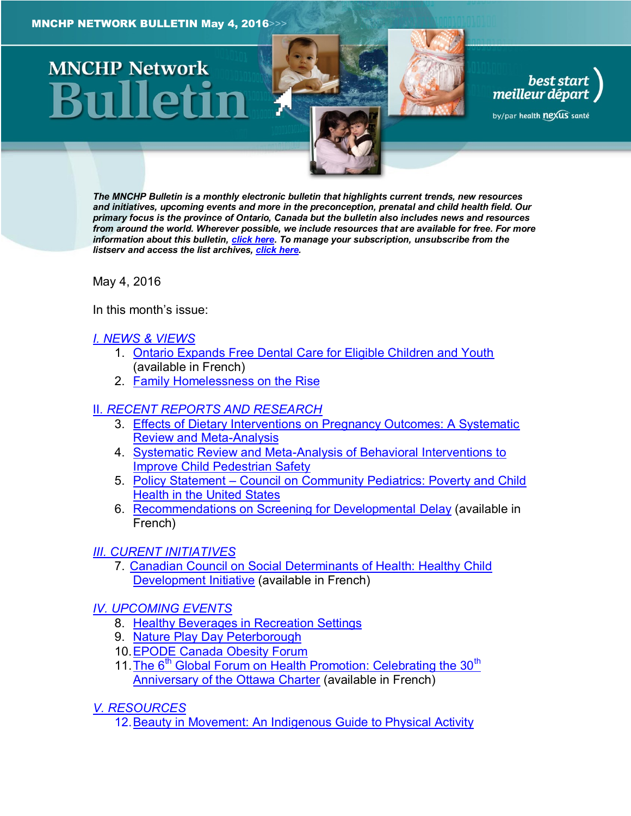# **MNCHP Network**

*The MNCHP Bulletin is a monthly electronic bulletin that highlights current trends, new resources and initiatives, upcoming events and more in the preconception, prenatal and child health field. Our primary focus is the province of Ontario, Canada but the bulletin also includes news and resources from around the world. Wherever possible, we include resources that are available for free. For more* 

best start<br>meilleur départ

by/par health nexus santé

May 4, 2016

In this month's issue:

#### *[I. NEWS & VIEWS](#page-1-0)*

1. [Ontario Expands Free Dental Care for Eligible Children and Youth](#page-1-1) (available in French)

*information about this bulletin, [click here.](#page-10-0) To manage your subscription, unsubscribe from the* 

2. [Family Homelessness on the Rise](#page-1-2)

#### II. *[RECENT REPORTS AND RESEARCH](#page-2-0)*

<span id="page-0-0"></span>*listserv and access the list archives, [click here.](http://en.beststart.org/services/information-exchange)* 

- 3. [Effects of Dietary Interventions on Pregnancy Outcomes: A Systematic](#page-2-1)  [Review and Meta-Analysis](#page-2-1)
- 4. [Systematic Review and Meta-Analysis of Behavioral Interventions to](#page-3-0)  [Improve Child Pedestrian Safety](#page-3-0)
- 5. Policy Statement [Council on Community Pediatrics: Poverty and Child](#page-4-0)  [Health in the United States](#page-4-0)
- 6. [Recommendations on Screening for Developmental](#page-5-0) Delay (available in French)

# *[III. CURENT INITIATIVES](#page-6-0)*

- 7. [Canadian Council on Social Determinants of Health: Healthy Child](#page-6-1)  [Development Initiative](#page-6-1) (available in French)
- *[IV. UPCOMING EVENTS](#page-6-2)*
	- 8. [Healthy Beverages in Recreation Settings](#page-6-3)
	- 9. [Nature Play Day Peterborough](#page-7-0)
	- 10[.EPODE Canada Obesity Forum](#page-7-1)
	- 11. The 6<sup>th</sup> [Global Forum on Health Promotion: Celebrating the 30](#page-7-2)<sup>th</sup> [Anniversary of the Ottawa Charter](#page-7-2) (available in French)
- *[V. RESOURCES](#page-8-0)*

[12.Beauty in Movement: An Indigenous Guide to Physical Activity](#page-8-1)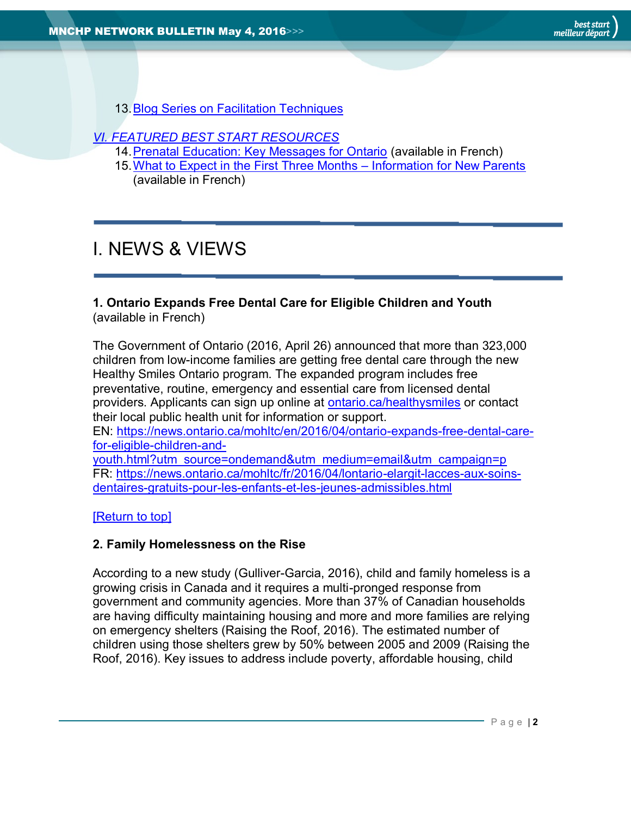13[.Blog Series on Facilitation Techniques](#page-8-2)

# *[VI. FEATURED BEST START RESOURCES](#page-9-0)*

- 14[.Prenatal Education: Key Messages for Ontario](#page-9-1) (available in French)
- 15[.What to Expect in the First Three Months](#page-9-2)  Information for New Parents (available in French)

# <span id="page-1-0"></span>I. NEWS & VIEWS

# <span id="page-1-1"></span>**1. Ontario Expands Free Dental Care for Eligible Children and Youth** (available in French)

The Government of Ontario (2016, April 26) announced that more than 323,000 children from low-income families are getting free dental care through the new Healthy Smiles Ontario program. The expanded program includes free preventative, routine, emergency and essential care from licensed dental providers. Applicants can sign up online at [ontario.ca/healthysmiles](https://www.ontario.ca/page/get-dental-care) or contact their local public health unit for information or support.

EN: [https://news.ontario.ca/mohltc/en/2016/04/ontario-expands-free-dental-care](https://news.ontario.ca/mohltc/en/2016/04/ontario-expands-free-dental-care-for-eligible-children-and-youth.html?utm_source=ondemand&utm_medium=email&utm_campaign=p)[for-eligible-children-and-](https://news.ontario.ca/mohltc/en/2016/04/ontario-expands-free-dental-care-for-eligible-children-and-youth.html?utm_source=ondemand&utm_medium=email&utm_campaign=p)

[youth.html?utm\\_source=ondemand&utm\\_medium=email&utm\\_campaign=p](https://news.ontario.ca/mohltc/en/2016/04/ontario-expands-free-dental-care-for-eligible-children-and-youth.html?utm_source=ondemand&utm_medium=email&utm_campaign=p) FR: [https://news.ontario.ca/mohltc/fr/2016/04/lontario-elargit-lacces-aux-soins](https://news.ontario.ca/mohltc/fr/2016/04/lontario-elargit-lacces-aux-soins-dentaires-gratuits-pour-les-enfants-et-les-jeunes-admissibles.html)[dentaires-gratuits-pour-les-enfants-et-les-jeunes-admissibles.html](https://news.ontario.ca/mohltc/fr/2016/04/lontario-elargit-lacces-aux-soins-dentaires-gratuits-pour-les-enfants-et-les-jeunes-admissibles.html)

[\[Return to top\]](#page-0-0)

# <span id="page-1-2"></span>**2. Family Homelessness on the Rise**

According to a new study (Gulliver-Garcia, 2016), child and family homeless is a growing crisis in Canada and it requires a multi-pronged response from government and community agencies. More than 37% of Canadian households are having difficulty maintaining housing and more and more families are relying on emergency shelters (Raising the Roof, 2016). The estimated number of children using those shelters grew by 50% between 2005 and 2009 (Raising the Roof, 2016). Key issues to address include poverty, affordable housing, child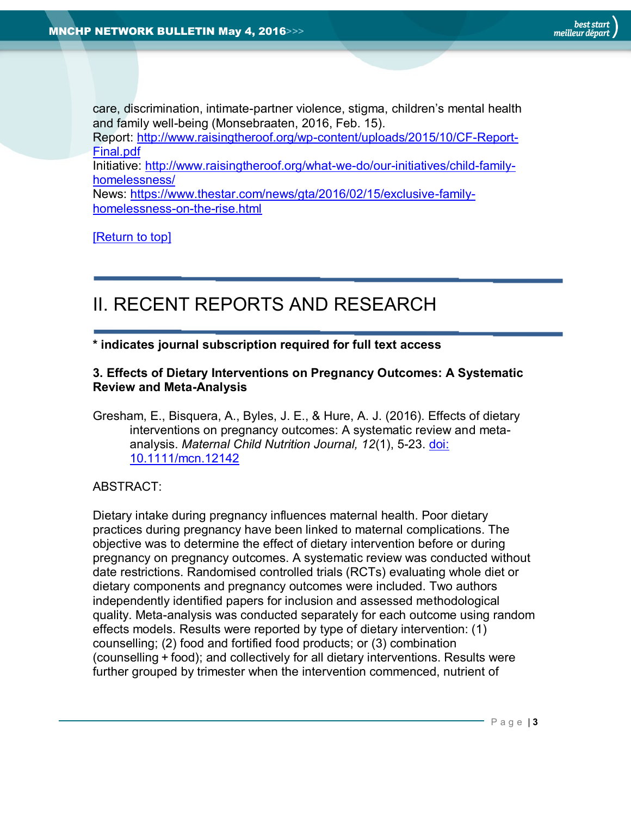care, discrimination, intimate-partner violence, stigma, children's mental health and family well-being (Monsebraaten, 2016, Feb. 15).

Report: [http://www.raisingtheroof.org/wp-content/uploads/2015/10/CF-Report-](http://www.raisingtheroof.org/wp-content/uploads/2015/10/CF-Report-Final.pdf)[Final.pdf](http://www.raisingtheroof.org/wp-content/uploads/2015/10/CF-Report-Final.pdf)

Initiative: [http://www.raisingtheroof.org/what-we-do/our-initiatives/child-family](http://www.raisingtheroof.org/what-we-do/our-initiatives/child-family-homelessness/)[homelessness/](http://www.raisingtheroof.org/what-we-do/our-initiatives/child-family-homelessness/)

News: [https://www.thestar.com/news/gta/2016/02/15/exclusive-family](https://www.thestar.com/news/gta/2016/02/15/exclusive-family-homelessness-on-the-rise.html)[homelessness-on-the-rise.html](https://www.thestar.com/news/gta/2016/02/15/exclusive-family-homelessness-on-the-rise.html)

[\[Return to top\]](#page-0-0)

# <span id="page-2-0"></span>II. RECENT REPORTS AND RESEARCH

**\* indicates journal subscription required for full text access**

#### <span id="page-2-1"></span>**3. Effects of Dietary Interventions on Pregnancy Outcomes: A Systematic Review and Meta-Analysis**

Gresham, E., Bisquera, A., Byles, J. E., & Hure, A. J. (2016). Effects of dietary interventions on pregnancy outcomes: A systematic review and metaanalysis. *Maternal Child Nutrition Journal, 12*(1), 5-23. [doi:](http://onlinelibrary.wiley.com/doi/10.1111/mcn.12142/epdf)  [10.1111/mcn.12142](http://onlinelibrary.wiley.com/doi/10.1111/mcn.12142/epdf)

# ABSTRACT:

Dietary intake during pregnancy influences maternal health. Poor dietary practices during pregnancy have been linked to maternal complications. The objective was to determine the effect of dietary intervention before or during pregnancy on pregnancy outcomes. A systematic review was conducted without date restrictions. Randomised controlled trials (RCTs) evaluating whole diet or dietary components and pregnancy outcomes were included. Two authors independently identified papers for inclusion and assessed methodological quality. Meta-analysis was conducted separately for each outcome using random effects models. Results were reported by type of dietary intervention: (1) counselling; (2) food and fortified food products; or (3) combination (counselling + food); and collectively for all dietary interventions. Results were further grouped by trimester when the intervention commenced, nutrient of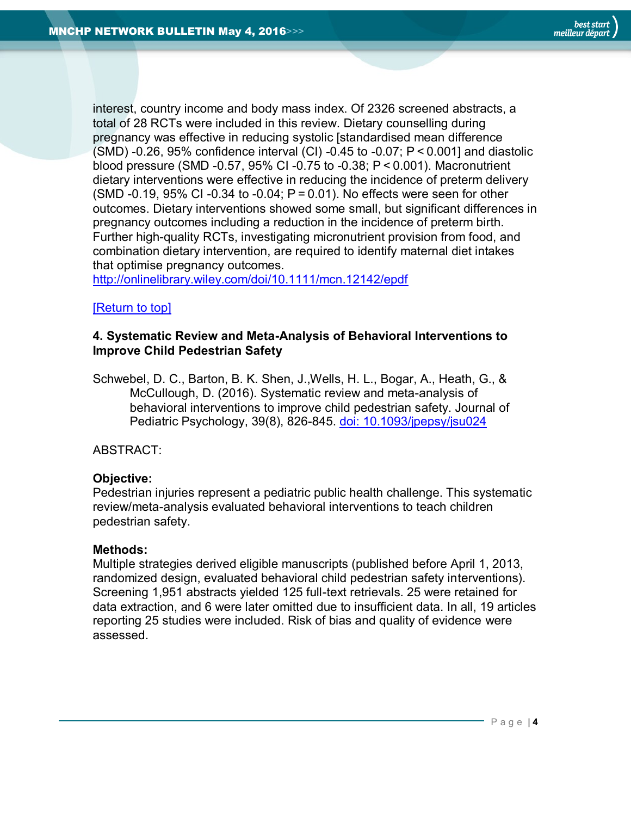interest, country income and body mass index. Of 2326 screened abstracts, a total of 28 RCTs were included in this review. Dietary counselling during pregnancy was effective in reducing systolic [standardised mean difference (SMD) -0.26, 95% confidence interval (CI) -0.45 to -0.07; P < 0.001] and diastolic blood pressure (SMD -0.57, 95% CI -0.75 to -0.38; P < 0.001). Macronutrient dietary interventions were effective in reducing the incidence of preterm delivery (SMD -0.19, 95% CI -0.34 to -0.04; P = 0.01). No effects were seen for other outcomes. Dietary interventions showed some small, but significant differences in pregnancy outcomes including a reduction in the incidence of preterm birth. Further high-quality RCTs, investigating micronutrient provision from food, and combination dietary intervention, are required to identify maternal diet intakes that optimise pregnancy outcomes.

<http://onlinelibrary.wiley.com/doi/10.1111/mcn.12142/epdf>

#### [\[Return to top\]](#page-0-0)

#### <span id="page-3-0"></span>**4. Systematic Review and Meta-Analysis of Behavioral Interventions to Improve Child Pedestrian Safety**

Schwebel, D. C., Barton, B. K. Shen, J.,Wells, H. L., Bogar, A., Heath, G., & McCullough, D. (2016). Systematic review and meta-analysis of behavioral interventions to improve child pedestrian safety. Journal of Pediatric Psychology, 39(8), 826-845. [doi: 10.1093/jpepsy/jsu024](http://www.ncbi.nlm.nih.gov/pmc/articles/PMC4138804/)

#### ABSTRACT:

#### **Objective:**

Pedestrian injuries represent a pediatric public health challenge. This systematic review/meta-analysis evaluated behavioral interventions to teach children pedestrian safety.

#### **Methods:**

Multiple strategies derived eligible manuscripts (published before April 1, 2013, randomized design, evaluated behavioral child pedestrian safety interventions). Screening 1,951 abstracts yielded 125 full-text retrievals. 25 were retained for data extraction, and 6 were later omitted due to insufficient data. In all, 19 articles reporting 25 studies were included. Risk of bias and quality of evidence were assessed.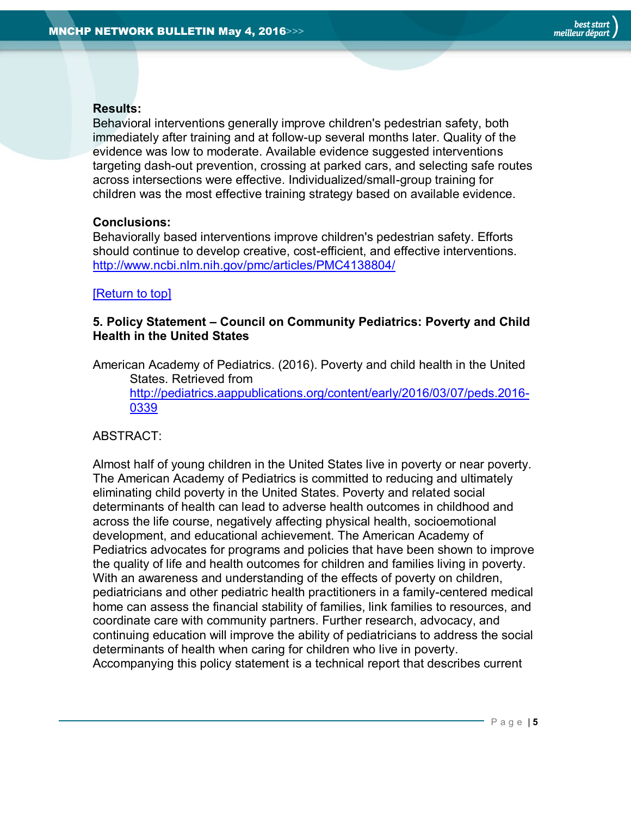## **Results:**

Behavioral interventions generally improve children's pedestrian safety, both immediately after training and at follow-up several months later. Quality of the evidence was low to moderate. Available evidence suggested interventions targeting dash-out prevention, crossing at parked cars, and selecting safe routes across intersections were effective. Individualized/small-group training for children was the most effective training strategy based on available evidence.

#### **Conclusions:**

Behaviorally based interventions improve children's pedestrian safety. Efforts should continue to develop creative, cost-efficient, and effective interventions. <http://www.ncbi.nlm.nih.gov/pmc/articles/PMC4138804/>

#### [\[Return to top\]](#page-0-0)

## <span id="page-4-0"></span>**5. Policy Statement – Council on Community Pediatrics: Poverty and Child Health in the United States**

American Academy of Pediatrics. (2016). Poverty and child health in the United States. Retrieved from [http://pediatrics.aappublications.org/content/early/2016/03/07/peds.2016-](http://pediatrics.aappublications.org/content/early/2016/03/07/peds.2016-0339) [0339](http://pediatrics.aappublications.org/content/early/2016/03/07/peds.2016-0339)

# ABSTRACT:

Almost half of young children in the United States live in poverty or near poverty. The American Academy of Pediatrics is committed to reducing and ultimately eliminating child poverty in the United States. Poverty and related social determinants of health can lead to adverse health outcomes in childhood and across the life course, negatively affecting physical health, socioemotional development, and educational achievement. The American Academy of Pediatrics advocates for programs and policies that have been shown to improve the quality of life and health outcomes for children and families living in poverty. With an awareness and understanding of the effects of poverty on children, pediatricians and other pediatric health practitioners in a family-centered medical home can assess the financial stability of families, link families to resources, and coordinate care with community partners. Further research, advocacy, and continuing education will improve the ability of pediatricians to address the social determinants of health when caring for children who live in poverty. Accompanying this policy statement is a technical report that describes current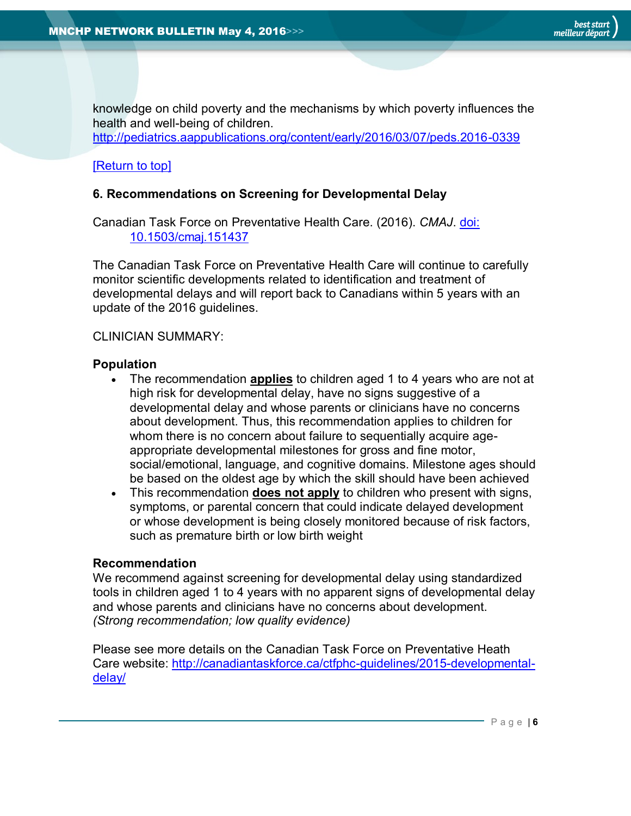knowledge on child poverty and the mechanisms by which poverty influences the health and well-being of children.

<http://pediatrics.aappublications.org/content/early/2016/03/07/peds.2016-0339>

# [\[Return to top\]](#page-0-0)

## <span id="page-5-0"></span>**6. Recommendations on Screening for Developmental Delay**

Canadian Task Force on Preventative Health Care. (2016). *CMAJ*. [doi:](http://www.cmaj.ca/content/early/2016/03/29/cmaj.151437)  [10.1503/cmaj.151437](http://www.cmaj.ca/content/early/2016/03/29/cmaj.151437)

The Canadian Task Force on Preventative Health Care will continue to carefully monitor scientific developments related to identification and treatment of developmental delays and will report back to Canadians within 5 years with an update of the 2016 guidelines.

#### CLINICIAN SUMMARY:

#### **Population**

- The recommendation **applies** to children aged 1 to 4 years who are not at high risk for developmental delay, have no signs suggestive of a developmental delay and whose parents or clinicians have no concerns about development. Thus, this recommendation applies to children for whom there is no concern about failure to sequentially acquire ageappropriate developmental milestones for gross and fine motor, social/emotional, language, and cognitive domains. Milestone ages should be based on the oldest age by which the skill should have been achieved
- This recommendation **does not apply** to children who present with signs, symptoms, or parental concern that could indicate delayed development or whose development is being closely monitored because of risk factors, such as premature birth or low birth weight

#### **Recommendation**

We recommend against screening for developmental delay using standardized tools in children aged 1 to 4 years with no apparent signs of developmental delay and whose parents and clinicians have no concerns about development. *(Strong recommendation; low quality evidence)*

Please see more details on the Canadian Task Force on Preventative Heath Care website: [http://canadiantaskforce.ca/ctfphc-guidelines/2015-developmental](http://canadiantaskforce.ca/ctfphc-guidelines/2015-developmental-delay/)[delay/](http://canadiantaskforce.ca/ctfphc-guidelines/2015-developmental-delay/)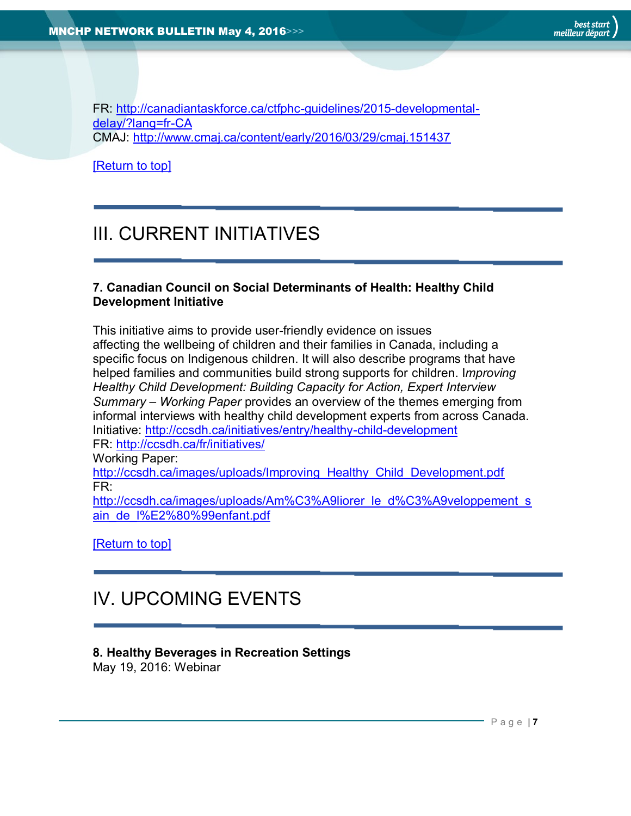FR: [http://canadiantaskforce.ca/ctfphc-guidelines/2015-developmental](http://canadiantaskforce.ca/ctfphc-guidelines/2015-developmental-delay/?lang=fr-CA)[delay/?lang=fr-CA](http://canadiantaskforce.ca/ctfphc-guidelines/2015-developmental-delay/?lang=fr-CA) CMAJ:<http://www.cmaj.ca/content/early/2016/03/29/cmaj.151437>

[\[Return to top\]](#page-0-0)

# <span id="page-6-0"></span>III. CURRENT INITIATIVES

#### <span id="page-6-1"></span>**7. Canadian Council on Social Determinants of Health: Healthy Child Development Initiative**

This initiative aims to provide user-friendly evidence on issues affecting the wellbeing of children and their families in Canada, including a specific focus on Indigenous children. It will also describe programs that have helped families and communities build strong supports for children. I*mproving Healthy Child Development: Building Capacity for Action, Expert Interview Summary – Working Paper* provides an overview of the themes emerging from informal interviews with healthy child development experts from across Canada. Initiative:<http://ccsdh.ca/initiatives/entry/healthy-child-development> FR:<http://ccsdh.ca/fr/initiatives/> Working Paper: [http://ccsdh.ca/images/uploads/Improving\\_Healthy\\_Child\\_Development.pdf](http://ccsdh.ca/images/uploads/Improving_Healthy_Child_Development.pdf)

FR:

[http://ccsdh.ca/images/uploads/Am%C3%A9liorer\\_le\\_d%C3%A9veloppement\\_s](http://ccsdh.ca/images/uploads/Am%C3%A9liorer_le_d%C3%A9veloppement_sain_de_l%E2%80%99enfant.pdf) [ain\\_de\\_l%E2%80%99enfant.pdf](http://ccsdh.ca/images/uploads/Am%C3%A9liorer_le_d%C3%A9veloppement_sain_de_l%E2%80%99enfant.pdf)

[\[Return to top\]](#page-0-0)

# <span id="page-6-2"></span>IV. UPCOMING EVENTS

# <span id="page-6-3"></span>**8. Healthy Beverages in Recreation Settings**

May 19, 2016: Webinar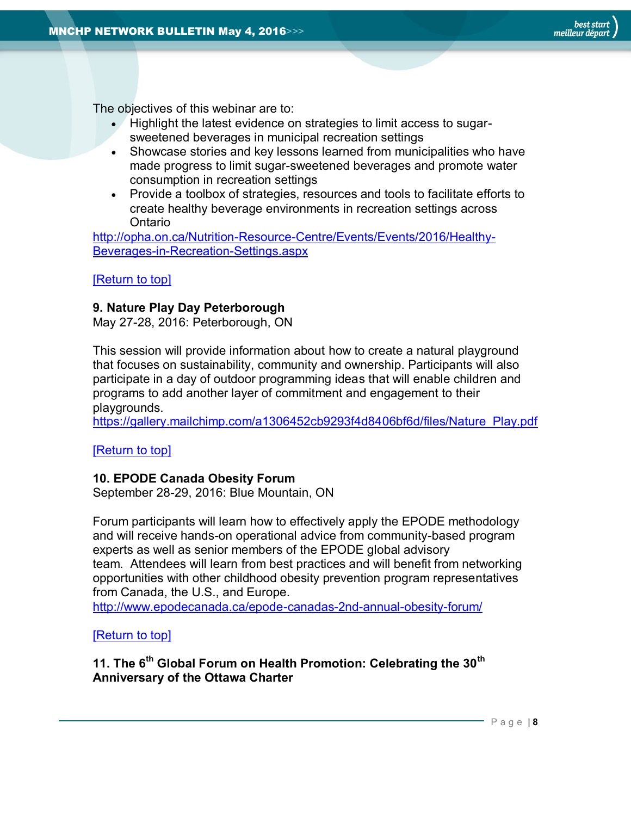The objectives of this webinar are to:

- Highlight the latest evidence on strategies to limit access to sugarsweetened beverages in municipal recreation settings
- Showcase stories and key lessons learned from municipalities who have made progress to limit sugar-sweetened beverages and promote water consumption in recreation settings
- Provide a toolbox of strategies, resources and tools to facilitate efforts to create healthy beverage environments in recreation settings across **Ontario**

[http://opha.on.ca/Nutrition-Resource-Centre/Events/Events/2016/Healthy-](http://opha.on.ca/Nutrition-Resource-Centre/Events/Events/2016/Healthy-Beverages-in-Recreation-Settings.aspx)[Beverages-in-Recreation-Settings.aspx](http://opha.on.ca/Nutrition-Resource-Centre/Events/Events/2016/Healthy-Beverages-in-Recreation-Settings.aspx)

#### [\[Return to top\]](#page-0-0)

#### <span id="page-7-0"></span>**9. Nature Play Day Peterborough**

May 27-28, 2016: Peterborough, ON

This session will provide information about how to create a natural playground that focuses on sustainability, community and ownership. Participants will also participate in a day of outdoor programming ideas that will enable children and programs to add another layer of commitment and engagement to their playgrounds.

[https://gallery.mailchimp.com/a1306452cb9293f4d8406bf6d/files/Nature\\_Play.pdf](https://gallery.mailchimp.com/a1306452cb9293f4d8406bf6d/files/Nature_Play.pdf)

#### [\[Return to top\]](#page-0-0)

#### <span id="page-7-1"></span>**10. EPODE Canada Obesity Forum**

September 28-29, 2016: Blue Mountain, ON

Forum participants will learn how to effectively apply the EPODE methodology and will receive hands-on operational advice from community-based program experts as well as senior members of the EPODE global advisory team. Attendees will learn from best practices and will benefit from networking opportunities with other childhood obesity prevention program representatives from Canada, the U.S., and Europe.

<http://www.epodecanada.ca/epode-canadas-2nd-annual-obesity-forum/>

#### [\[Return to top\]](#page-0-0)

<span id="page-7-2"></span>**11. The 6th Global Forum on Health Promotion: Celebrating the 30th Anniversary of the Ottawa Charter**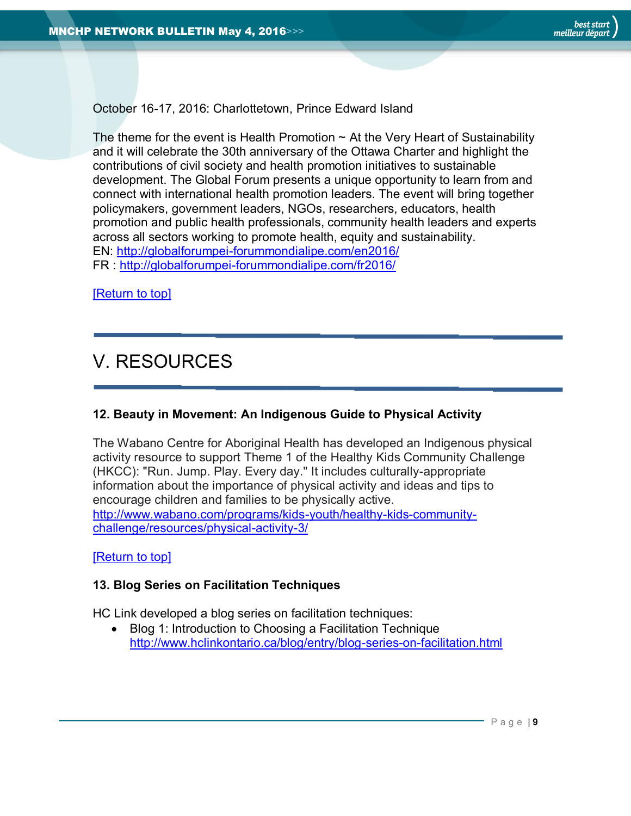October 16-17, 2016: Charlottetown, Prince Edward Island

The theme for the event is Health Promotion  $\sim$  At the Very Heart of Sustainability and it will celebrate the 30th anniversary of the Ottawa Charter and highlight the contributions of civil society and health promotion initiatives to sustainable development. The Global Forum presents a unique opportunity to learn from and connect with international health promotion leaders. The event will bring together policymakers, government leaders, NGOs, researchers, educators, health promotion and public health professionals, community health leaders and experts across all sectors working to promote health, equity and sustainability. EN:<http://globalforumpei-forummondialipe.com/en2016/> FR :<http://globalforumpei-forummondialipe.com/fr2016/>

# [\[Return to top\]](#page-0-0)

# <span id="page-8-0"></span>V. RESOURCES

# <span id="page-8-1"></span>**12. Beauty in Movement: An Indigenous Guide to Physical Activity**

The Wabano Centre for Aboriginal Health has developed an Indigenous physical activity resource to support Theme 1 of the Healthy Kids Community Challenge (HKCC): "Run. Jump. Play. Every day." It includes culturally-appropriate information about the importance of physical activity and ideas and tips to encourage children and families to be physically active. [http://www.wabano.com/programs/kids-youth/healthy-kids-community](http://www.wabano.com/programs/kids-youth/healthy-kids-community-challenge/resources/physical-activity-3/)[challenge/resources/physical-activity-3/](http://www.wabano.com/programs/kids-youth/healthy-kids-community-challenge/resources/physical-activity-3/)

# [\[Return to top\]](#page-0-0)

# <span id="page-8-2"></span>**13. Blog Series on Facilitation Techniques**

HC Link developed a blog series on facilitation techniques:

• Blog 1: Introduction to Choosing a Facilitation Technique <http://www.hclinkontario.ca/blog/entry/blog-series-on-facilitation.html>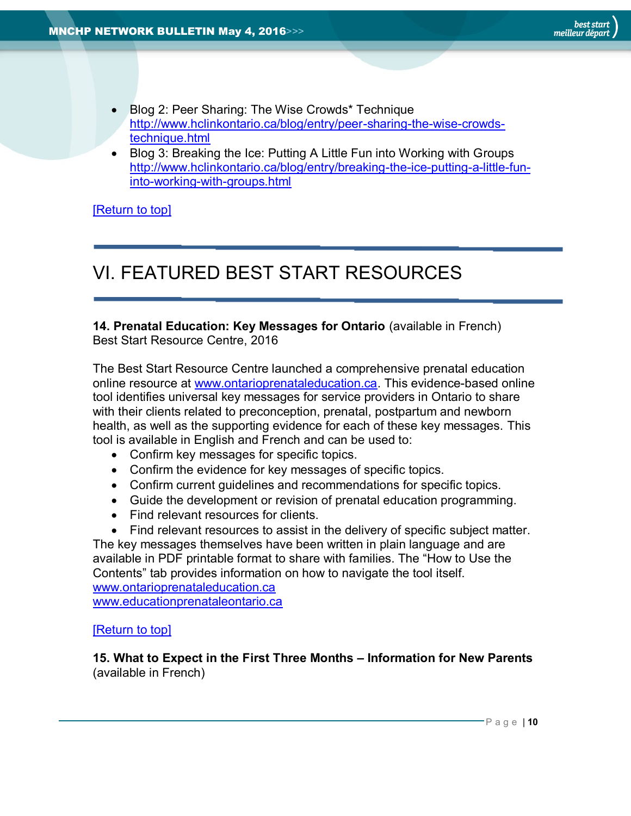- Blog 2: Peer Sharing: The Wise Crowds\* Technique [http://www.hclinkontario.ca/blog/entry/peer-sharing-the-wise-crowds](http://www.hclinkontario.ca/blog/entry/peer-sharing-the-wise-crowds-technique.html)[technique.html](http://www.hclinkontario.ca/blog/entry/peer-sharing-the-wise-crowds-technique.html)
- Blog 3: Breaking the Ice: Putting A Little Fun into Working with Groups [http://www.hclinkontario.ca/blog/entry/breaking-the-ice-putting-a-little-fun](http://www.hclinkontario.ca/blog/entry/breaking-the-ice-putting-a-little-fun-into-working-with-groups.html)[into-working-with-groups.html](http://www.hclinkontario.ca/blog/entry/breaking-the-ice-putting-a-little-fun-into-working-with-groups.html)

[\[Return to top\]](#page-0-0)

# <span id="page-9-0"></span>VI. FEATURED BEST START RESOURCES

<span id="page-9-1"></span>**14. Prenatal Education: Key Messages for Ontario** (available in French) Best Start Resource Centre, 2016

The Best Start Resource Centre launched a comprehensive prenatal education online resource at [www.ontarioprenataleducation.ca.](http://www.ontarioprenataleducation.ca/) This evidence-based online tool identifies universal key messages for service providers in Ontario to share with their clients related to preconception, prenatal, postpartum and newborn health, as well as the supporting evidence for each of these key messages. This tool is available in English and French and can be used to:

- Confirm key messages for specific topics.
- Confirm the evidence for key messages of specific topics.
- Confirm current guidelines and recommendations for specific topics.
- Guide the development or revision of prenatal education programming.
- Find relevant resources for clients.

 Find relevant resources to assist in the delivery of specific subject matter. The key messages themselves have been written in plain language and are available in PDF printable format to share with families. The "How to Use the Contents" tab provides information on how to navigate the tool itself. [www.ontarioprenataleducation.ca](http://www.ontarioprenataleducation.ca/) [www.educationprenataleontario.ca](http://www.educationprenataleontario.ca/)

#### [\[Return to top\]](#page-0-0)

<span id="page-9-2"></span>**15. What to Expect in the First Three Months – Information for New Parents** (available in French)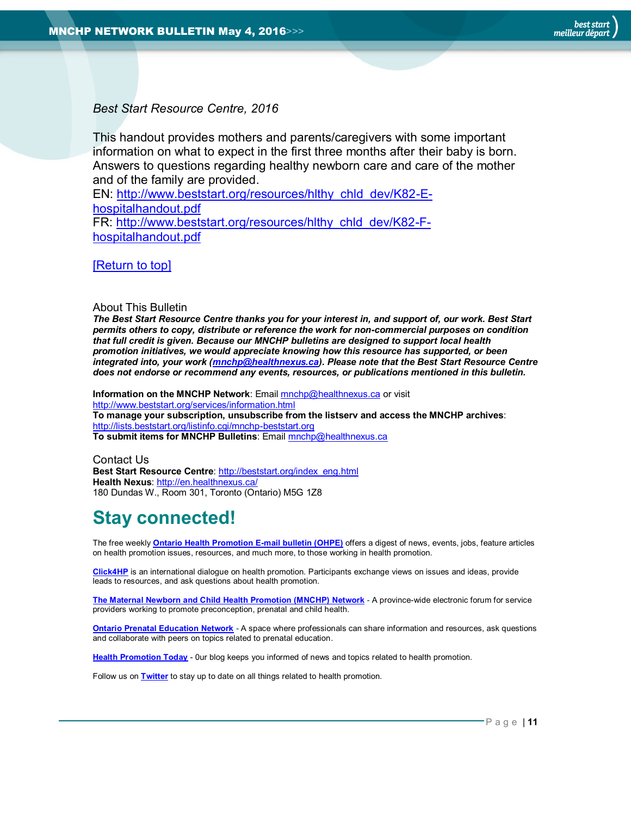*Best Start Resource Centre, 2016*

This handout provides mothers and parents/caregivers with some important information on what to expect in the first three months after their baby is born. Answers to questions regarding healthy newborn care and care of the mother and of the family are provided.

EN: [http://www.beststart.org/resources/hlthy\\_chld\\_dev/K82-E](http://www.beststart.org/resources/hlthy_chld_dev/K82-E-hospitalhandout.pdf)[hospitalhandout.pdf](http://www.beststart.org/resources/hlthy_chld_dev/K82-E-hospitalhandout.pdf) FR: [http://www.beststart.org/resources/hlthy\\_chld\\_dev/K82-F](http://www.beststart.org/resources/hlthy_chld_dev/K82-F-hospitalhandout.pdf)[hospitalhandout.pdf](http://www.beststart.org/resources/hlthy_chld_dev/K82-F-hospitalhandout.pdf)

[\[Return to top\]](#page-0-0)

<span id="page-10-0"></span>About This Bulletin

*The Best Start Resource Centre thanks you for your interest in, and support of, our work. Best Start permits others to copy, distribute or reference the work for non-commercial purposes on condition that full credit is given. Because our MNCHP bulletins are designed to support local health promotion initiatives, we would appreciate knowing how this resource has supported, or been integrated into, your work [\(mnchp@healthnexus.ca\)](mailto:mnchp@healthnexus.ca). Please note that the Best Start Resource Centre does not endorse or recommend any events, resources, or publications mentioned in this bulletin.* 

**Information on the MNCHP Network**: Emai[l mnchp@healthnexus.ca](mailto:mnchp@healthnexus.ca) or visit <http://www.beststart.org/services/information.html> **To manage your subscription, unsubscribe from the listserv and access the MNCHP archives**: <http://lists.beststart.org/listinfo.cgi/mnchp-beststart.org> **To submit items for MNCHP Bulletins**: Emai[l mnchp@healthnexus.ca](mailto:mnchp@healthnexus.ca)

Contact Us **Best Start Resource Centre**: [http://beststart.org/index\\_eng.html](http://beststart.org/index_eng.html) **Health Nexus**:<http://en.healthnexus.ca/> 180 Dundas W., Room 301, Toronto (Ontario) M5G 1Z8

# **Stay connected!**

The free weekly **[Ontario Health Promotion E-mail bulletin \(OHPE\)](http://www.ohpe.ca/)** offers a digest of news, events, jobs, feature articles on health promotion issues, resources, and much more, to those working in health promotion.

**[Click4HP](https://listserv.yorku.ca/archives/click4hp.html)** is an international dialogue on health promotion. Participants exchange views on issues and ideas, provide leads to resources, and ask questions about health promotion.

**[The Maternal Newborn and Child Health Promotion \(MNCHP\)](http://www.beststart.org/services/MNCHP.html) Network -** A province-wide electronic forum for service providers working to promote preconception, prenatal and child health.

**[Ontario Prenatal Education Network](http://fluidsurveys.com/surveys/ohpe/subscriptionsopen2015-2016/) -** A space where professionals can share information and resources, ask questions and collaborate with peers on topics related to prenatal education.

**[Health Promotion Today](http://en.healthnexus.ca/)** - 0ur blog keeps you informed of news and topics related to health promotion.

Follow us on **[Twitter](https://twitter.com/Health_Nexus)** to stay up to date on all things related to health promotion.